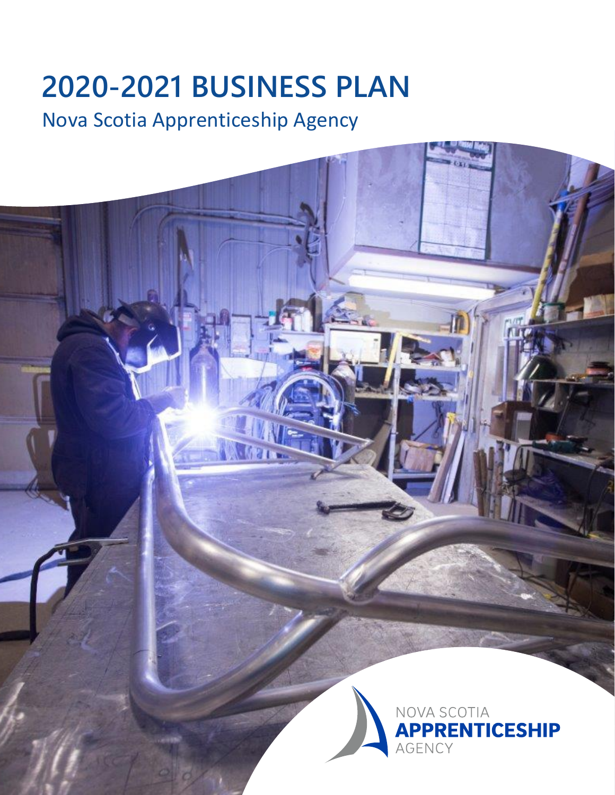# **2020-2021 BUSINESS PLAN**

## Nova Scotia Apprenticeship Agency

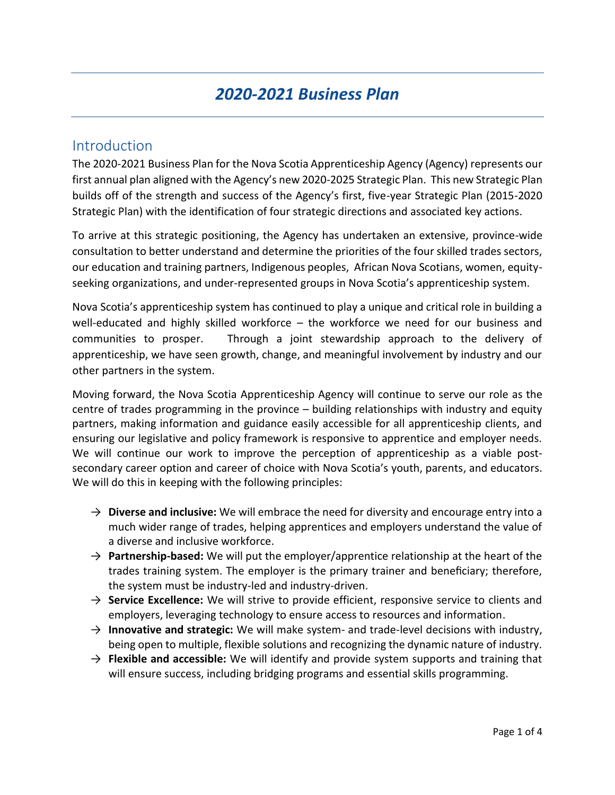### *2020-2021 Business Plan*

#### Introduction

The 2020-2021 Business Plan for the Nova Scotia Apprenticeship Agency (Agency) represents our first annual plan aligned with the Agency's new 2020-2025 Strategic Plan. This new Strategic Plan builds off of the strength and success of the Agency's first, five-year Strategic Plan (2015-2020 Strategic Plan) with the identification of four strategic directions and associated key actions.

To arrive at this strategic positioning, the Agency has undertaken an extensive, province-wide consultation to better understand and determine the priorities of the four skilled trades sectors, our education and training partners, Indigenous peoples, African Nova Scotians, women, equityseeking organizations, and under-represented groups in Nova Scotia's apprenticeship system.

Nova Scotia's apprenticeship system has continued to play a unique and critical role in building a well-educated and highly skilled workforce – the workforce we need for our business and communities to prosper. Through a joint stewardship approach to the delivery of apprenticeship, we have seen growth, change, and meaningful involvement by industry and our other partners in the system.

Moving forward, the Nova Scotia Apprenticeship Agency will continue to serve our role as the centre of trades programming in the province – building relationships with industry and equity partners, making information and guidance easily accessible for all apprenticeship clients, and ensuring our legislative and policy framework is responsive to apprentice and employer needs. We will continue our work to improve the perception of apprenticeship as a viable postsecondary career option and career of choice with Nova Scotia's youth, parents, and educators. We will do this in keeping with the following principles:

- $\rightarrow$  **Diverse and inclusive:** We will embrace the need for diversity and encourage entry into a much wider range of trades, helping apprentices and employers understand the value of a diverse and inclusive workforce.
- → **Partnership-based:** We will put the employer/apprentice relationship at the heart of the trades training system. The employer is the primary trainer and beneficiary; therefore, the system must be industry-led and industry-driven.
- → **Service Excellence:** We will strive to provide efficient, responsive service to clients and employers, leveraging technology to ensure access to resources and information.
- → **Innovative and strategic:** We will make system- and trade-level decisions with industry, being open to multiple, flexible solutions and recognizing the dynamic nature of industry.
- $\rightarrow$  **Flexible and accessible:** We will identify and provide system supports and training that will ensure success, including bridging programs and essential skills programming.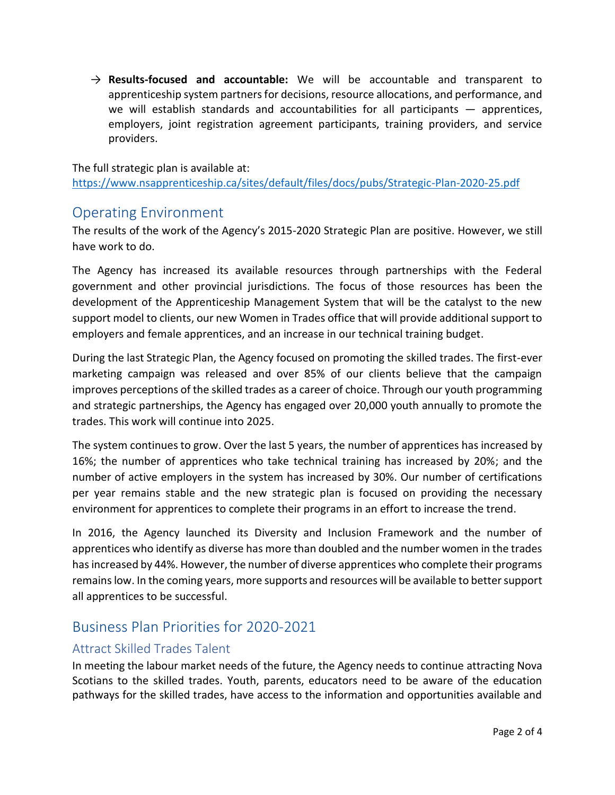→ **Results-focused and accountable:** We will be accountable and transparent to apprenticeship system partners for decisions, resource allocations, and performance, and we will establish standards and accountabilities for all participants  $-$  apprentices, employers, joint registration agreement participants, training providers, and service providers.

The full strategic plan is available at: <https://www.nsapprenticeship.ca/sites/default/files/docs/pubs/Strategic-Plan-2020-25.pdf>

#### Operating Environment

The results of the work of the Agency's 2015-2020 Strategic Plan are positive. However, we still have work to do.

The Agency has increased its available resources through partnerships with the Federal government and other provincial jurisdictions. The focus of those resources has been the development of the Apprenticeship Management System that will be the catalyst to the new support model to clients, our new Women in Trades office that will provide additional support to employers and female apprentices, and an increase in our technical training budget.

During the last Strategic Plan, the Agency focused on promoting the skilled trades. The first-ever marketing campaign was released and over 85% of our clients believe that the campaign improves perceptions of the skilled trades as a career of choice. Through our youth programming and strategic partnerships, the Agency has engaged over 20,000 youth annually to promote the trades. This work will continue into 2025.

The system continues to grow. Over the last 5 years, the number of apprentices has increased by 16%; the number of apprentices who take technical training has increased by 20%; and the number of active employers in the system has increased by 30%. Our number of certifications per year remains stable and the new strategic plan is focused on providing the necessary environment for apprentices to complete their programs in an effort to increase the trend.

In 2016, the Agency launched its Diversity and Inclusion Framework and the number of apprentices who identify as diverse has more than doubled and the number women in the trades has increased by 44%. However, the number of diverse apprentices who complete their programs remains low. In the coming years, more supports and resources will be available to better support all apprentices to be successful.

#### Business Plan Priorities for 2020-2021

#### Attract Skilled Trades Talent

In meeting the labour market needs of the future, the Agency needs to continue attracting Nova Scotians to the skilled trades. Youth, parents, educators need to be aware of the education pathways for the skilled trades, have access to the information and opportunities available and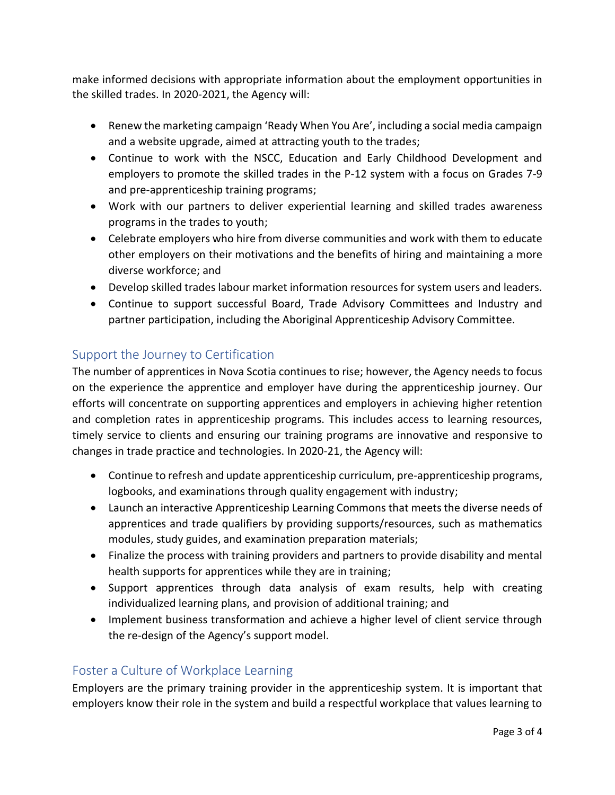make informed decisions with appropriate information about the employment opportunities in the skilled trades. In 2020-2021, the Agency will:

- Renew the marketing campaign 'Ready When You Are', including a social media campaign and a website upgrade, aimed at attracting youth to the trades;
- Continue to work with the NSCC, Education and Early Childhood Development and employers to promote the skilled trades in the P-12 system with a focus on Grades 7-9 and pre-apprenticeship training programs;
- Work with our partners to deliver experiential learning and skilled trades awareness programs in the trades to youth;
- Celebrate employers who hire from diverse communities and work with them to educate other employers on their motivations and the benefits of hiring and maintaining a more diverse workforce; and
- Develop skilled trades labour market information resources for system users and leaders.
- Continue to support successful Board, Trade Advisory Committees and Industry and partner participation, including the Aboriginal Apprenticeship Advisory Committee.

#### Support the Journey to Certification

The number of apprentices in Nova Scotia continues to rise; however, the Agency needs to focus on the experience the apprentice and employer have during the apprenticeship journey. Our efforts will concentrate on supporting apprentices and employers in achieving higher retention and completion rates in apprenticeship programs. This includes access to learning resources, timely service to clients and ensuring our training programs are innovative and responsive to changes in trade practice and technologies. In 2020-21, the Agency will:

- Continue to refresh and update apprenticeship curriculum, pre-apprenticeship programs, logbooks, and examinations through quality engagement with industry;
- Launch an interactive Apprenticeship Learning Commons that meets the diverse needs of apprentices and trade qualifiers by providing supports/resources, such as mathematics modules, study guides, and examination preparation materials;
- Finalize the process with training providers and partners to provide disability and mental health supports for apprentices while they are in training;
- Support apprentices through data analysis of exam results, help with creating individualized learning plans, and provision of additional training; and
- Implement business transformation and achieve a higher level of client service through the re-design of the Agency's support model.

#### Foster a Culture of Workplace Learning

Employers are the primary training provider in the apprenticeship system. It is important that employers know their role in the system and build a respectful workplace that values learning to